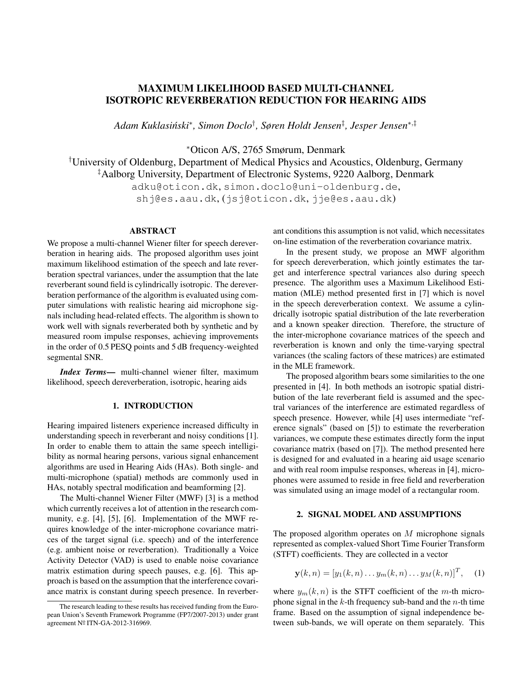# MAXIMUM LIKELIHOOD BASED MULTI-CHANNEL ISOTROPIC REVERBERATION REDUCTION FOR HEARING AIDS

*Adam Kuklasinski ´* ∗ *, Simon Doclo*† *, Søren Holdt Jensen*‡ *, Jesper Jensen*<sup>∗</sup>,‡

<sup>∗</sup>Oticon A/S, 2765 Smørum, Denmark

†University of Oldenburg, Department of Medical Physics and Acoustics, Oldenburg, Germany ‡Aalborg University, Department of Electronic Systems, 9220 Aalborg, Denmark adku@oticon.dk, simon.doclo@uni-oldenburg.de,

shj@es.aau.dk, (jsj@oticon.dk, jje@es.aau.dk)

# ABSTRACT

We propose a multi-channel Wiener filter for speech dereverberation in hearing aids. The proposed algorithm uses joint maximum likelihood estimation of the speech and late reverberation spectral variances, under the assumption that the late reverberant sound field is cylindrically isotropic. The dereverberation performance of the algorithm is evaluated using computer simulations with realistic hearing aid microphone signals including head-related effects. The algorithm is shown to work well with signals reverberated both by synthetic and by measured room impulse responses, achieving improvements in the order of 0.5 PESQ points and 5 dB frequency-weighted segmental SNR.

*Index Terms*— multi-channel wiener filter, maximum likelihood, speech dereverberation, isotropic, hearing aids

# 1. INTRODUCTION

Hearing impaired listeners experience increased difficulty in understanding speech in reverberant and noisy conditions [1]. In order to enable them to attain the same speech intelligibility as normal hearing persons, various signal enhancement algorithms are used in Hearing Aids (HAs). Both single- and multi-microphone (spatial) methods are commonly used in HAs, notably spectral modification and beamforming [2].

The Multi-channel Wiener Filter (MWF) [3] is a method which currently receives a lot of attention in the research community, e.g. [4], [5], [6]. Implementation of the MWF requires knowledge of the inter-microphone covariance matrices of the target signal (i.e. speech) and of the interference (e.g. ambient noise or reverberation). Traditionally a Voice Activity Detector (VAD) is used to enable noise covariance matrix estimation during speech pauses, e.g. [6]. This approach is based on the assumption that the interference covariance matrix is constant during speech presence. In reverberant conditions this assumption is not valid, which necessitates on-line estimation of the reverberation covariance matrix.

In the present study, we propose an MWF algorithm for speech dereverberation, which jointly estimates the target and interference spectral variances also during speech presence. The algorithm uses a Maximum Likelihood Estimation (MLE) method presented first in [7] which is novel in the speech dereverberation context. We assume a cylindrically isotropic spatial distribution of the late reverberation and a known speaker direction. Therefore, the structure of the inter-microphone covariance matrices of the speech and reverberation is known and only the time-varying spectral variances (the scaling factors of these matrices) are estimated in the MLE framework.

The proposed algorithm bears some similarities to the one presented in [4]. In both methods an isotropic spatial distribution of the late reverberant field is assumed and the spectral variances of the interference are estimated regardless of speech presence. However, while [4] uses intermediate "reference signals" (based on [5]) to estimate the reverberation variances, we compute these estimates directly form the input covariance matrix (based on [7]). The method presented here is designed for and evaluated in a hearing aid usage scenario and with real room impulse responses, whereas in [4], microphones were assumed to reside in free field and reverberation was simulated using an image model of a rectangular room.

# 2. SIGNAL MODEL AND ASSUMPTIONS

The proposed algorithm operates on  $M$  microphone signals represented as complex-valued Short Time Fourier Transform (STFT) coefficients. They are collected in a vector

$$
\mathbf{y}(k,n) = [y_1(k,n) \dots y_m(k,n) \dots y_M(k,n)]^T, \quad (1)
$$

where  $y_m(k, n)$  is the STFT coefficient of the m-th microphone signal in the  $k$ -th frequency sub-band and the  $n$ -th time frame. Based on the assumption of signal independence between sub-bands, we will operate on them separately. This

The research leading to these results has received funding from the European Union's Seventh Framework Programme (FP7/2007-2013) under grant agreement Nº ITN-GA-2012-316969.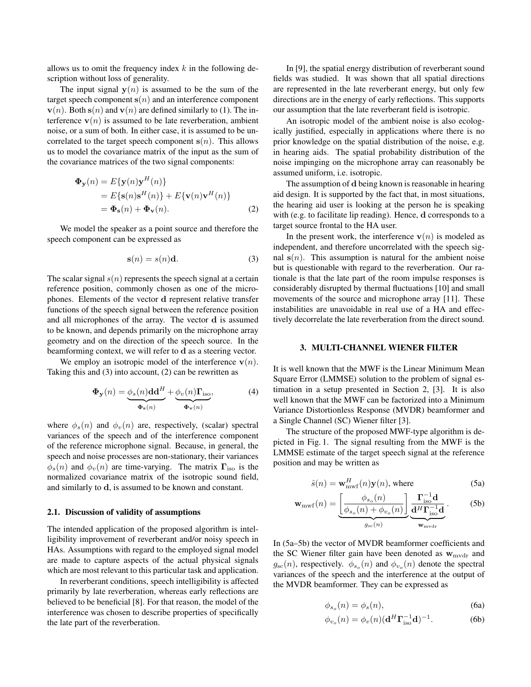allows us to omit the frequency index  $k$  in the following description without loss of generality.

The input signal  $y(n)$  is assumed to be the sum of the target speech component  $s(n)$  and an interference component  $\mathbf{v}(n)$ . Both  $\mathbf{s}(n)$  and  $\mathbf{v}(n)$  are defined similarly to (1). The interference  $\mathbf{v}(n)$  is assumed to be late reverberation, ambient noise, or a sum of both. In either case, it is assumed to be uncorrelated to the target speech component  $s(n)$ . This allows us to model the covariance matrix of the input as the sum of the covariance matrices of the two signal components:

$$
\begin{aligned} \mathbf{\Phi}_{\mathbf{y}}(n) &= E\{\mathbf{y}(n)\mathbf{y}^{H}(n)\} \\ &= E\{\mathbf{s}(n)\mathbf{s}^{H}(n)\} + E\{\mathbf{v}(n)\mathbf{v}^{H}(n)\} \\ &= \mathbf{\Phi}_{\mathbf{s}}(n) + \mathbf{\Phi}_{\mathbf{v}}(n). \end{aligned} \tag{2}
$$

We model the speaker as a point source and therefore the speech component can be expressed as

$$
\mathbf{s}(n) = s(n)\mathbf{d}.\tag{3}
$$

The scalar signal  $s(n)$  represents the speech signal at a certain reference position, commonly chosen as one of the microphones. Elements of the vector d represent relative transfer functions of the speech signal between the reference position and all microphones of the array. The vector d is assumed to be known, and depends primarily on the microphone array geometry and on the direction of the speech source. In the beamforming context, we will refer to d as a steering vector.

We employ an isotropic model of the interference  $\mathbf{v}(n)$ . Taking this and (3) into account, (2) can be rewritten as

$$
\Phi_{\mathbf{y}}(n) = \underbrace{\phi_s(n) \mathbf{d} \mathbf{d}^H}_{\Phi_{\mathbf{s}}(n)} + \underbrace{\phi_v(n) \mathbf{\Gamma}_{\text{iso}}}_{\Phi_{\mathbf{v}}(n)},\tag{4}
$$

where  $\phi_s(n)$  and  $\phi_v(n)$  are, respectively, (scalar) spectral variances of the speech and of the interference component of the reference microphone signal. Because, in general, the speech and noise processes are non-stationary, their variances  $\phi_s(n)$  and  $\phi_v(n)$  are time-varying. The matrix  $\Gamma_{\text{iso}}$  is the normalized covariance matrix of the isotropic sound field, and similarly to d, is assumed to be known and constant.

### 2.1. Discussion of validity of assumptions

The intended application of the proposed algorithm is intelligibility improvement of reverberant and/or noisy speech in HAs. Assumptions with regard to the employed signal model are made to capture aspects of the actual physical signals which are most relevant to this particular task and application.

In reverberant conditions, speech intelligibility is affected primarily by late reverberation, whereas early reflections are believed to be beneficial [8]. For that reason, the model of the interference was chosen to describe properties of specifically the late part of the reverberation.

In [9], the spatial energy distribution of reverberant sound fields was studied. It was shown that all spatial directions are represented in the late reverberant energy, but only few directions are in the energy of early reflections. This supports our assumption that the late reverberant field is isotropic.

An isotropic model of the ambient noise is also ecologically justified, especially in applications where there is no prior knowledge on the spatial distribution of the noise, e.g. in hearing aids. The spatial probability distribution of the noise impinging on the microphone array can reasonably be assumed uniform, i.e. isotropic.

The assumption of d being known is reasonable in hearing aid design. It is supported by the fact that, in most situations, the hearing aid user is looking at the person he is speaking with (e.g. to facilitate lip reading). Hence, d corresponds to a target source frontal to the HA user.

In the present work, the interference  $\mathbf{v}(n)$  is modeled as independent, and therefore uncorrelated with the speech signal  $s(n)$ . This assumption is natural for the ambient noise but is questionable with regard to the reverberation. Our rationale is that the late part of the room impulse responses is considerably disrupted by thermal fluctuations [10] and small movements of the source and microphone array [11]. These instabilities are unavoidable in real use of a HA and effectively decorrelate the late reverberation from the direct sound.

### 3. MULTI-CHANNEL WIENER FILTER

It is well known that the MWF is the Linear Minimum Mean Square Error (LMMSE) solution to the problem of signal estimation in a setup presented in Section 2, [3]. It is also well known that the MWF can be factorized into a Minimum Variance Distortionless Response (MVDR) beamformer and a Single Channel (SC) Wiener filter [3].

The structure of the proposed MWF-type algorithm is depicted in Fig. 1. The signal resulting from the MWF is the LMMSE estimate of the target speech signal at the reference position and may be written as

$$
\hat{s}(n) = \mathbf{w}_{\text{mwf}}^{H}(n)\mathbf{y}(n), \text{ where}
$$
\n(5a)

$$
\mathbf{w}_{\rm mwf}(n) = \underbrace{\left[\frac{\phi_{s_o}(n)}{\phi_{s_o}(n) + \phi_{v_o}(n)}\right]}_{g_{\rm sc}(n)} \underbrace{\frac{\Gamma_{\rm iso}^{-1}\mathbf{d}}{\mathbf{d}^H\Gamma_{\rm iso}^{-1}\mathbf{d}}}_{\mathbf{w}_{\rm mwdr}}.
$$
 (5b)

In (5a–5b) the vector of MVDR beamformer coefficients and the SC Wiener filter gain have been denoted as  $w_{\text{mvdr}}$  and  $g_{\rm sc}(n)$ , respectively.  $\phi_{s_o}(n)$  and  $\phi_{v_o}(n)$  denote the spectral variances of the speech and the interference at the output of the MVDR beamformer. They can be expressed as

$$
\phi_{s_o}(n) = \phi_s(n),\tag{6a}
$$

$$
\phi_{v_o}(n) = \phi_v(n) (\mathbf{d}^H \mathbf{\Gamma}_{\text{iso}}^{-1} \mathbf{d})^{-1}.
$$
 (6b)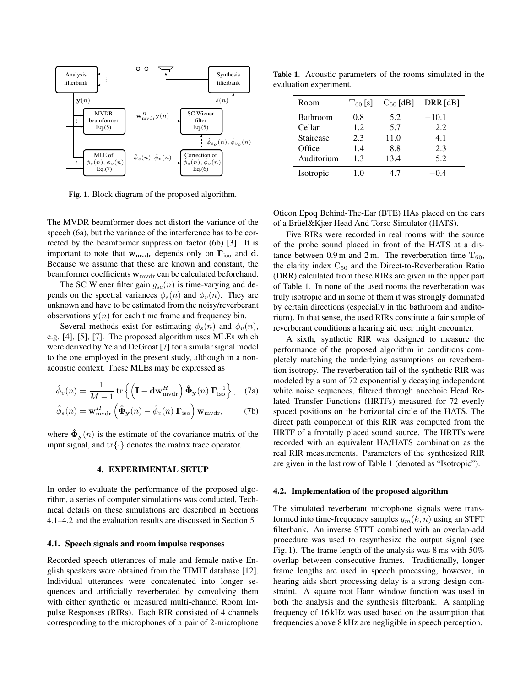

Fig. 1. Block diagram of the proposed algorithm.

The MVDR beamformer does not distort the variance of the speech (6a), but the variance of the interference has to be corrected by the beamformer suppression factor (6b) [3]. It is important to note that  $w_{\text{mvdr}}$  depends only on  $\Gamma_{\text{iso}}$  and d. Because we assume that these are known and constant, the beamformer coefficients  $w_{\text{mvdr}}$  can be calculated beforehand.

The SC Wiener filter gain  $g_{\rm sc}(n)$  is time-varying and depends on the spectral variances  $\phi_s(n)$  and  $\phi_v(n)$ . They are unknown and have to be estimated from the noisy/reverberant observations  $y(n)$  for each time frame and frequency bin.

Several methods exist for estimating  $\phi_s(n)$  and  $\phi_v(n)$ , e.g. [4], [5], [7]. The proposed algorithm uses MLEs which were derived by Ye and DeGroat [7] for a similar signal model to the one employed in the present study, although in a nonacoustic context. These MLEs may be expressed as

$$
\hat{\phi}_v(n) = \frac{1}{M-1} \operatorname{tr} \left\{ \left( \mathbf{I} - \mathbf{dw}_{\text{mvdr}}^H \right) \hat{\mathbf{\Phi}}_{\mathbf{y}}(n) \, \mathbf{\Gamma}_{\text{iso}}^{-1} \right\}, \quad (7a)
$$

$$
\hat{\phi}_s(n) = \mathbf{w}_{\text{mvdr}}^H \left( \mathbf{\hat{\Phi}}_{\mathbf{y}}(n) - \hat{\phi}_v(n) \mathbf{\Gamma}_{\text{iso}} \right) \mathbf{w}_{\text{mvdr}}, \quad (7b)
$$

where  $\tilde{\Phi}_{\mathbf{v}}(n)$  is the estimate of the covariance matrix of the input signal, and  $\text{tr}\{\cdot\}$  denotes the matrix trace operator.

### 4. EXPERIMENTAL SETUP

In order to evaluate the performance of the proposed algorithm, a series of computer simulations was conducted, Technical details on these simulations are described in Sections 4.1–4.2 and the evaluation results are discussed in Section 5

#### 4.1. Speech signals and room impulse responses

Recorded speech utterances of male and female native English speakers were obtained from the TIMIT database [12]. Individual utterances were concatenated into longer sequences and artificially reverberated by convolving them with either synthetic or measured multi-channel Room Impulse Responses (RIRs). Each RIR consisted of 4 channels corresponding to the microphones of a pair of 2-microphone

Table 1. Acoustic parameters of the rooms simulated in the evaluation experiment.

| Room            | $T_{60}$ [s] | $C_{50}$ [dB] | DRR [dB] |
|-----------------|--------------|---------------|----------|
| <b>Bathroom</b> | 0.8          | 5.2           | $-10.1$  |
| Cellar          | 1.2.         | 5.7           | 2.2.     |
| Staircase       | 2.3          | 11.0          | 4.1      |
| Office          | 1.4          | 8.8           | 2.3      |
| Auditorium      | 1.3          | 13.4          | 5.2      |
| Isotropic       | 1.0          | 47            |          |

Oticon Epoq Behind-The-Ear (BTE) HAs placed on the ears of a Brüel&Kjær Head And Torso Simulator (HATS).

Five RIRs were recorded in real rooms with the source of the probe sound placed in front of the HATS at a distance between 0.9 m and 2 m. The reverberation time  $T_{60}$ , the clarity index  $C_{50}$  and the Direct-to-Reverberation Ratio (DRR) calculated from these RIRs are given in the upper part of Table 1. In none of the used rooms the reverberation was truly isotropic and in some of them it was strongly dominated by certain directions (especially in the bathroom and auditorium). In that sense, the used RIRs constitute a fair sample of reverberant conditions a hearing aid user might encounter.

A sixth, synthetic RIR was designed to measure the performance of the proposed algorithm in conditions completely matching the underlying assumptions on reverberation isotropy. The reverberation tail of the synthetic RIR was modeled by a sum of 72 exponentially decaying independent white noise sequences, filtered through anechoic Head Related Transfer Functions (HRTFs) measured for 72 evenly spaced positions on the horizontal circle of the HATS. The direct path component of this RIR was computed from the HRTF of a frontally placed sound source. The HRTFs were recorded with an equivalent HA/HATS combination as the real RIR measurements. Parameters of the synthesized RIR are given in the last row of Table 1 (denoted as "Isotropic").

### 4.2. Implementation of the proposed algorithm

The simulated reverberant microphone signals were transformed into time-frequency samples  $y_m(k, n)$  using an STFT filterbank. An inverse STFT combined with an overlap-add procedure was used to resynthesize the output signal (see Fig. 1). The frame length of the analysis was 8 ms with 50% overlap between consecutive frames. Traditionally, longer frame lengths are used in speech processing, however, in hearing aids short processing delay is a strong design constraint. A square root Hann window function was used in both the analysis and the synthesis filterbank. A sampling frequency of 16 kHz was used based on the assumption that frequencies above 8 kHz are negligible in speech perception.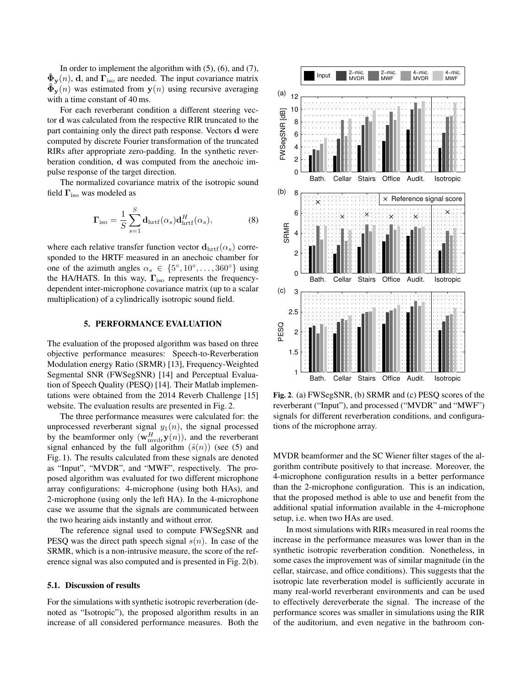In order to implement the algorithm with  $(5)$ ,  $(6)$ , and  $(7)$ ,  $\hat{\Phi}_{\mathbf{y}}(n)$ , d, and  $\Gamma_{\text{iso}}$  are needed. The input covariance matrix  $\mathbf{\Phi}_{\mathbf{y}}(n)$  was estimated from  $\mathbf{y}(n)$  using recursive averaging with a time constant of 40 ms.

For each reverberant condition a different steering vector d was calculated from the respective RIR truncated to the part containing only the direct path response. Vectors d were computed by discrete Fourier transformation of the truncated RIRs after appropriate zero-padding. In the synthetic reverberation condition, d was computed from the anechoic impulse response of the target direction.

The normalized covariance matrix of the isotropic sound field  $\Gamma_{\text{iso}}$  was modeled as

$$
\Gamma_{\rm iso} = \frac{1}{S} \sum_{s=1}^{S} \mathbf{d}_{\rm hrtf}(\alpha_s) \mathbf{d}_{\rm hrtf}^H(\alpha_s),\tag{8}
$$

where each relative transfer function vector  $\mathbf{d}_{\text{hrtf}}(\alpha_s)$  corresponded to the HRTF measured in an anechoic chamber for one of the azimuth angles  $\alpha_s \in \{5^\circ, 10^\circ, \dots, 360^\circ\}$  using the HA/HATS. In this way,  $\Gamma_{\text{iso}}$  represents the frequencydependent inter-microphone covariance matrix (up to a scalar multiplication) of a cylindrically isotropic sound field.

# 5. PERFORMANCE EVALUATION

The evaluation of the proposed algorithm was based on three objective performance measures: Speech-to-Reverberation Modulation energy Ratio (SRMR) [13], Frequency-Weighted Segmental SNR (FWSegSNR) [14] and Perceptual Evaluation of Speech Quality (PESQ) [14]. Their Matlab implementations were obtained from the 2014 Reverb Challenge [15] website. The evaluation results are presented in Fig. 2.

The three performance measures were calculated for: the unprocessed reverberant signal  $y_1(n)$ , the signal processed by the beamformer only  $(\mathbf{w}_{\text{mvdr}}^H \mathbf{y}(n))$ , and the reverberant signal enhanced by the full algorithm  $(\hat{s}(n))$  (see (5) and Fig. 1). The results calculated from these signals are denoted as "Input", "MVDR", and "MWF", respectively. The proposed algorithm was evaluated for two different microphone array configurations: 4-microphone (using both HAs), and 2-microphone (using only the left HA). In the 4-microphone case we assume that the signals are communicated between the two hearing aids instantly and without error.

The reference signal used to compute FWSegSNR and PESQ was the direct path speech signal  $s(n)$ . In case of the SRMR, which is a non-intrusive measure, the score of the reference signal was also computed and is presented in Fig. 2(b).

### 5.1. Discussion of results

For the simulations with synthetic isotropic reverberation (denoted as "Isotropic"), the proposed algorithm results in an increase of all considered performance measures. Both the



Fig. 2. (a) FWSegSNR, (b) SRMR and (c) PESQ scores of the reverberant ("Input"), and processed ("MVDR" and "MWF") signals for different reverberation conditions, and configurations of the microphone array.

MVDR beamformer and the SC Wiener filter stages of the algorithm contribute positively to that increase. Moreover, the 4-microphone configuration results in a better performance than the 2-microphone configuration. This is an indication, that the proposed method is able to use and benefit from the additional spatial information available in the 4-microphone setup, i.e. when two HAs are used.

In most simulations with RIRs measured in real rooms the increase in the performance measures was lower than in the synthetic isotropic reverberation condition. Nonetheless, in some cases the improvement was of similar magnitude (in the cellar, staircase, and office conditions). This suggests that the isotropic late reverberation model is sufficiently accurate in many real-world reverberant environments and can be used to effectively dereverberate the signal. The increase of the performance scores was smaller in simulations using the RIR of the auditorium, and even negative in the bathroom con